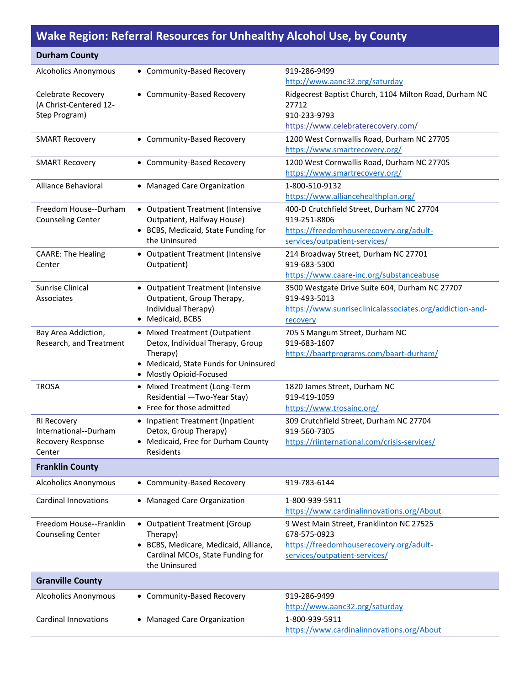## **Wake Region: Referral Resources for Unhealthy Alcohol Use, by County**

| <b>Durham County</b>                              |                                                                           |                                                                          |
|---------------------------------------------------|---------------------------------------------------------------------------|--------------------------------------------------------------------------|
| <b>Alcoholics Anonymous</b>                       | • Community-Based Recovery                                                | 919-286-9499                                                             |
|                                                   |                                                                           | http://www.aanc32.org/saturday                                           |
| Celebrate Recovery                                | • Community-Based Recovery                                                | Ridgecrest Baptist Church, 1104 Milton Road, Durham NC                   |
| (A Christ-Centered 12-<br>Step Program)           |                                                                           | 27712<br>910-233-9793                                                    |
|                                                   |                                                                           | https://www.celebraterecovery.com/                                       |
| <b>SMART Recovery</b>                             | • Community-Based Recovery                                                | 1200 West Cornwallis Road, Durham NC 27705                               |
|                                                   |                                                                           | https://www.smartrecovery.org/                                           |
| <b>SMART Recovery</b>                             | • Community-Based Recovery                                                | 1200 West Cornwallis Road, Durham NC 27705                               |
|                                                   |                                                                           | https://www.smartrecovery.org/                                           |
| Alliance Behavioral                               | • Managed Care Organization                                               | 1-800-510-9132                                                           |
|                                                   |                                                                           | https://www.alliancehealthplan.org/                                      |
| Freedom House--Durham<br><b>Counseling Center</b> | • Outpatient Treatment (Intensive<br>Outpatient, Halfway House)           | 400-D Crutchfield Street, Durham NC 27704<br>919-251-8806                |
|                                                   | • BCBS, Medicaid, State Funding for                                       | https://freedomhouserecovery.org/adult-                                  |
|                                                   | the Uninsured                                                             | services/outpatient-services/                                            |
| <b>CAARE: The Healing</b>                         | • Outpatient Treatment (Intensive                                         | 214 Broadway Street, Durham NC 27701                                     |
| Center                                            | Outpatient)                                                               | 919-683-5300                                                             |
|                                                   |                                                                           | https://www.caare-inc.org/substanceabuse                                 |
| Sunrise Clinical<br>Associates                    | • Outpatient Treatment (Intensive<br>Outpatient, Group Therapy,           | 3500 Westgate Drive Suite 604, Durham NC 27707<br>919-493-5013           |
|                                                   | Individual Therapy)                                                       | https://www.sunriseclinicalassociates.org/addiction-and-                 |
|                                                   | • Medicaid, BCBS                                                          | recovery                                                                 |
| Bay Area Addiction,                               | • Mixed Treatment (Outpatient                                             | 705 S Mangum Street, Durham NC                                           |
| Research, and Treatment                           | Detox, Individual Therapy, Group                                          | 919-683-1607                                                             |
|                                                   | Therapy)<br>• Medicaid, State Funds for Uninsured                         | https://baartprograms.com/baart-durham/                                  |
|                                                   | • Mostly Opioid-Focused                                                   |                                                                          |
| <b>TROSA</b>                                      | • Mixed Treatment (Long-Term                                              | 1820 James Street, Durham NC                                             |
|                                                   | Residential -Two-Year Stay)                                               | 919-419-1059                                                             |
|                                                   | • Free for those admitted                                                 | https://www.trosainc.org/                                                |
| RI Recovery                                       | • Inpatient Treatment (Inpatient                                          | 309 Crutchfield Street, Durham NC 27704                                  |
| International--Durham                             | Detox, Group Therapy)                                                     | 919-560-7305                                                             |
| Recovery Response<br>Center                       | • Medicaid, Free for Durham County<br>Residents                           | https://riinternational.com/crisis-services/                             |
| <b>Franklin County</b>                            |                                                                           |                                                                          |
| <b>Alcoholics Anonymous</b>                       | • Community-Based Recovery                                                | 919-783-6144                                                             |
| <b>Cardinal Innovations</b>                       | • Managed Care Organization                                               | 1-800-939-5911                                                           |
|                                                   |                                                                           | https://www.cardinalinnovations.org/About                                |
| Freedom House--Franklin                           | • Outpatient Treatment (Group                                             | 9 West Main Street, Franklinton NC 27525                                 |
| <b>Counseling Center</b>                          | Therapy)                                                                  | 678-575-0923                                                             |
|                                                   | • BCBS, Medicare, Medicaid, Alliance,<br>Cardinal MCOs, State Funding for | https://freedomhouserecovery.org/adult-<br>services/outpatient-services/ |
|                                                   | the Uninsured                                                             |                                                                          |
| <b>Granville County</b>                           |                                                                           |                                                                          |
| <b>Alcoholics Anonymous</b>                       | • Community-Based Recovery                                                | 919-286-9499                                                             |
|                                                   |                                                                           | http://www.aanc32.org/saturday                                           |
| <b>Cardinal Innovations</b>                       | • Managed Care Organization                                               | 1-800-939-5911                                                           |
|                                                   |                                                                           | https://www.cardinalinnovations.org/About                                |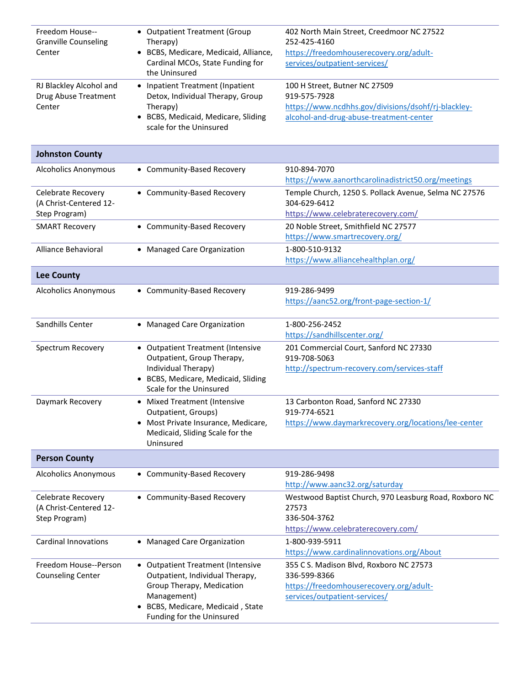| Freedom House--<br><b>Granville Counseling</b><br>Center      | • Outpatient Treatment (Group<br>Therapy)<br>· BCBS, Medicare, Medicaid, Alliance,<br>Cardinal MCOs, State Funding for<br>the Uninsured                                                       | 402 North Main Street, Creedmoor NC 27522<br>252-425-4160<br>https://freedomhouserecovery.org/adult-<br>services/outpatient-services/           |
|---------------------------------------------------------------|-----------------------------------------------------------------------------------------------------------------------------------------------------------------------------------------------|-------------------------------------------------------------------------------------------------------------------------------------------------|
| RJ Blackley Alcohol and<br>Drug Abuse Treatment<br>Center     | • Inpatient Treatment (Inpatient<br>Detox, Individual Therapy, Group<br>Therapy)<br>• BCBS, Medicaid, Medicare, Sliding<br>scale for the Uninsured                                            | 100 H Street, Butner NC 27509<br>919-575-7928<br>https://www.ncdhhs.gov/divisions/dsohf/rj-blackley-<br>alcohol-and-drug-abuse-treatment-center |
| <b>Johnston County</b>                                        |                                                                                                                                                                                               |                                                                                                                                                 |
| <b>Alcoholics Anonymous</b>                                   | • Community-Based Recovery                                                                                                                                                                    | 910-894-7070<br>https://www.aanorthcarolinadistrict50.org/meetings                                                                              |
| Celebrate Recovery<br>(A Christ-Centered 12-<br>Step Program) | • Community-Based Recovery                                                                                                                                                                    | Temple Church, 1250 S. Pollack Avenue, Selma NC 27576<br>304-629-6412<br>https://www.celebraterecovery.com/                                     |
| <b>SMART Recovery</b>                                         | • Community-Based Recovery                                                                                                                                                                    | 20 Noble Street, Smithfield NC 27577<br>https://www.smartrecovery.org/                                                                          |
| Alliance Behavioral                                           | • Managed Care Organization                                                                                                                                                                   | 1-800-510-9132<br>https://www.alliancehealthplan.org/                                                                                           |
| <b>Lee County</b>                                             |                                                                                                                                                                                               |                                                                                                                                                 |
| <b>Alcoholics Anonymous</b>                                   | • Community-Based Recovery                                                                                                                                                                    | 919-286-9499<br>https://aanc52.org/front-page-section-1/                                                                                        |
| Sandhills Center                                              | • Managed Care Organization                                                                                                                                                                   | 1-800-256-2452<br>https://sandhillscenter.org/                                                                                                  |
| Spectrum Recovery                                             | • Outpatient Treatment (Intensive<br>Outpatient, Group Therapy,<br>Individual Therapy)<br>• BCBS, Medicare, Medicaid, Sliding<br>Scale for the Uninsured                                      | 201 Commercial Court, Sanford NC 27330<br>919-708-5063<br>http://spectrum-recovery.com/services-staff                                           |
| Daymark Recovery                                              | • Mixed Treatment (Intensive<br>Outpatient, Groups)<br>• Most Private Insurance, Medicare,<br>Medicaid, Sliding Scale for the<br>Uninsured                                                    | 13 Carbonton Road, Sanford NC 27330<br>919-774-6521<br>https://www.daymarkrecovery.org/locations/lee-center                                     |
| <b>Person County</b>                                          |                                                                                                                                                                                               |                                                                                                                                                 |
| <b>Alcoholics Anonymous</b>                                   | • Community-Based Recovery                                                                                                                                                                    | 919-286-9498<br>http://www.aanc32.org/saturday                                                                                                  |
| Celebrate Recovery<br>(A Christ-Centered 12-<br>Step Program) | • Community-Based Recovery                                                                                                                                                                    | Westwood Baptist Church, 970 Leasburg Road, Roxboro NC<br>27573<br>336-504-3762<br>https://www.celebraterecovery.com/                           |
| <b>Cardinal Innovations</b>                                   | • Managed Care Organization                                                                                                                                                                   | 1-800-939-5911<br>https://www.cardinalinnovations.org/About                                                                                     |
| Freedom House--Person<br><b>Counseling Center</b>             | • Outpatient Treatment (Intensive<br>Outpatient, Individual Therapy,<br>Group Therapy, Medication<br>Management)<br>BCBS, Medicare, Medicaid, State<br>$\bullet$<br>Funding for the Uninsured | 355 C S. Madison Blvd, Roxboro NC 27573<br>336-599-8366<br>https://freedomhouserecovery.org/adult-<br>services/outpatient-services/             |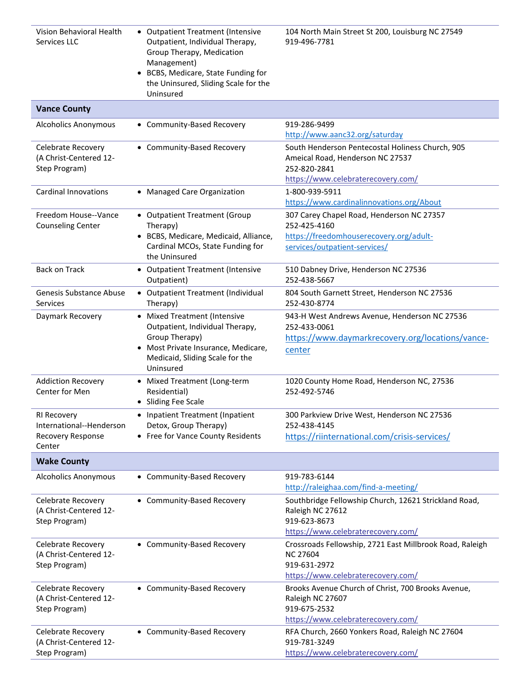| Vision Behavioral Health<br>Services LLC                               | • Outpatient Treatment (Intensive<br>Outpatient, Individual Therapy,<br>Group Therapy, Medication<br>Management)<br>BCBS, Medicare, State Funding for<br>the Uninsured, Sliding Scale for the<br>Uninsured | 104 North Main Street St 200, Louisburg NC 27549<br>919-496-7781                                                                           |
|------------------------------------------------------------------------|------------------------------------------------------------------------------------------------------------------------------------------------------------------------------------------------------------|--------------------------------------------------------------------------------------------------------------------------------------------|
| <b>Vance County</b>                                                    |                                                                                                                                                                                                            |                                                                                                                                            |
| <b>Alcoholics Anonymous</b>                                            | • Community-Based Recovery                                                                                                                                                                                 | 919-286-9499<br>http://www.aanc32.org/saturday                                                                                             |
| Celebrate Recovery<br>(A Christ-Centered 12-<br>Step Program)          | • Community-Based Recovery                                                                                                                                                                                 | South Henderson Pentecostal Holiness Church, 905<br>Ameical Road, Henderson NC 27537<br>252-820-2841<br>https://www.celebraterecovery.com/ |
| <b>Cardinal Innovations</b>                                            | • Managed Care Organization                                                                                                                                                                                | 1-800-939-5911<br>https://www.cardinalinnovations.org/About                                                                                |
| Freedom House--Vance<br><b>Counseling Center</b>                       | • Outpatient Treatment (Group<br>Therapy)<br>• BCBS, Medicare, Medicaid, Alliance,<br>Cardinal MCOs, State Funding for<br>the Uninsured                                                                    | 307 Carey Chapel Road, Henderson NC 27357<br>252-425-4160<br>https://freedomhouserecovery.org/adult-<br>services/outpatient-services/      |
| <b>Back on Track</b>                                                   | • Outpatient Treatment (Intensive<br>Outpatient)                                                                                                                                                           | 510 Dabney Drive, Henderson NC 27536<br>252-438-5667                                                                                       |
| Genesis Substance Abuse<br><b>Services</b>                             | • Outpatient Treatment (Individual<br>Therapy)                                                                                                                                                             | 804 South Garnett Street, Henderson NC 27536<br>252-430-8774                                                                               |
| Daymark Recovery                                                       | • Mixed Treatment (Intensive<br>Outpatient, Individual Therapy,<br>Group Therapy)<br>• Most Private Insurance, Medicare,<br>Medicaid, Sliding Scale for the<br>Uninsured                                   | 943-H West Andrews Avenue, Henderson NC 27536<br>252-433-0061<br>https://www.daymarkrecovery.org/locations/vance-<br>center                |
| <b>Addiction Recovery</b><br>Center for Men                            | • Mixed Treatment (Long-term<br>Residential)<br>• Sliding Fee Scale                                                                                                                                        | 1020 County Home Road, Henderson NC, 27536<br>252-492-5746                                                                                 |
| RI Recovery<br>International--Henderson<br>Recovery Response<br>Center | • Inpatient Treatment (Inpatient<br>Detox, Group Therapy)<br>• Free for Vance County Residents                                                                                                             | 300 Parkview Drive West, Henderson NC 27536<br>252-438-4145<br>https://riinternational.com/crisis-services/                                |
| <b>Wake County</b>                                                     |                                                                                                                                                                                                            |                                                                                                                                            |
| <b>Alcoholics Anonymous</b>                                            | • Community-Based Recovery                                                                                                                                                                                 | 919-783-6144<br>http://raleighaa.com/find-a-meeting/                                                                                       |
| <b>Celebrate Recovery</b><br>(A Christ-Centered 12-<br>Step Program)   | • Community-Based Recovery                                                                                                                                                                                 | Southbridge Fellowship Church, 12621 Strickland Road,<br>Raleigh NC 27612<br>919-623-8673<br>https://www.celebraterecovery.com/            |
| Celebrate Recovery<br>(A Christ-Centered 12-<br>Step Program)          | • Community-Based Recovery                                                                                                                                                                                 | Crossroads Fellowship, 2721 East Millbrook Road, Raleigh<br><b>NC 27604</b><br>919-631-2972<br>https://www.celebraterecovery.com/          |
| Celebrate Recovery<br>(A Christ-Centered 12-<br>Step Program)          | • Community-Based Recovery                                                                                                                                                                                 | Brooks Avenue Church of Christ, 700 Brooks Avenue,<br>Raleigh NC 27607<br>919-675-2532<br>https://www.celebraterecovery.com/               |
| Celebrate Recovery<br>(A Christ-Centered 12-<br>Step Program)          | • Community-Based Recovery                                                                                                                                                                                 | RFA Church, 2660 Yonkers Road, Raleigh NC 27604<br>919-781-3249<br>https://www.celebraterecovery.com/                                      |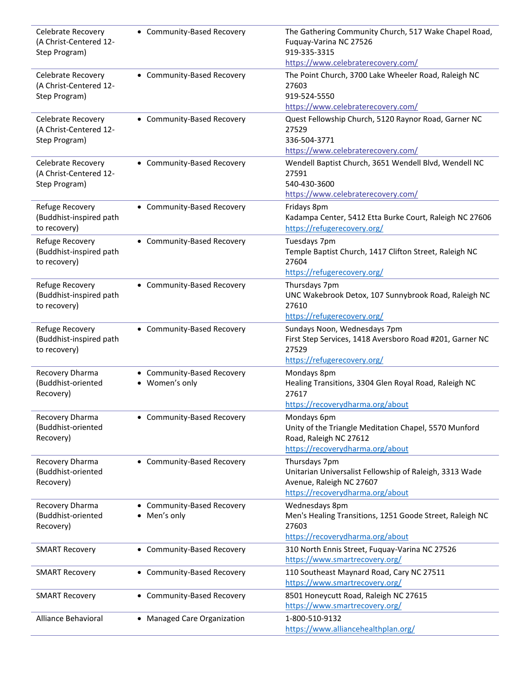| Celebrate Recovery<br>(A Christ-Centered 12-<br>Step Program) | • Community-Based Recovery                   | The Gathering Community Church, 517 Wake Chapel Road,<br>Fuquay-Varina NC 27526<br>919-335-3315<br>https://www.celebraterecovery.com/    |
|---------------------------------------------------------------|----------------------------------------------|------------------------------------------------------------------------------------------------------------------------------------------|
| Celebrate Recovery<br>(A Christ-Centered 12-<br>Step Program) | • Community-Based Recovery                   | The Point Church, 3700 Lake Wheeler Road, Raleigh NC<br>27603<br>919-524-5550<br>https://www.celebraterecovery.com/                      |
| Celebrate Recovery<br>(A Christ-Centered 12-<br>Step Program) | • Community-Based Recovery                   | Quest Fellowship Church, 5120 Raynor Road, Garner NC<br>27529<br>336-504-3771<br>https://www.celebraterecovery.com/                      |
| Celebrate Recovery<br>(A Christ-Centered 12-<br>Step Program) | • Community-Based Recovery                   | Wendell Baptist Church, 3651 Wendell Blvd, Wendell NC<br>27591<br>540-430-3600<br>https://www.celebraterecovery.com/                     |
| Refuge Recovery<br>(Buddhist-inspired path<br>to recovery)    | • Community-Based Recovery                   | Fridays 8pm<br>Kadampa Center, 5412 Etta Burke Court, Raleigh NC 27606<br>https://refugerecovery.org/                                    |
| Refuge Recovery<br>(Buddhist-inspired path<br>to recovery)    | • Community-Based Recovery                   | Tuesdays 7pm<br>Temple Baptist Church, 1417 Clifton Street, Raleigh NC<br>27604<br>https://refugerecovery.org/                           |
| Refuge Recovery<br>(Buddhist-inspired path<br>to recovery)    | • Community-Based Recovery                   | Thursdays 7pm<br>UNC Wakebrook Detox, 107 Sunnybrook Road, Raleigh NC<br>27610<br>https://refugerecovery.org/                            |
| Refuge Recovery<br>(Buddhist-inspired path<br>to recovery)    | • Community-Based Recovery                   | Sundays Noon, Wednesdays 7pm<br>First Step Services, 1418 Aversboro Road #201, Garner NC<br>27529<br>https://refugerecovery.org/         |
| Recovery Dharma<br>(Buddhist-oriented<br>Recovery)            | • Community-Based Recovery<br>• Women's only | Mondays 8pm<br>Healing Transitions, 3304 Glen Royal Road, Raleigh NC<br>27617<br>https://recoverydharma.org/about                        |
| Recovery Dharma<br>(Buddhist-oriented<br>Recovery)            | • Community-Based Recovery                   | Mondays 6pm<br>Unity of the Triangle Meditation Chapel, 5570 Munford<br>Road, Raleigh NC 27612<br>https://recoverydharma.org/about       |
| Recovery Dharma<br>(Buddhist-oriented<br>Recovery)            | • Community-Based Recovery                   | Thursdays 7pm<br>Unitarian Universalist Fellowship of Raleigh, 3313 Wade<br>Avenue, Raleigh NC 27607<br>https://recoverydharma.org/about |
| Recovery Dharma<br>(Buddhist-oriented<br>Recovery)            | • Community-Based Recovery<br>• Men's only   | Wednesdays 8pm<br>Men's Healing Transitions, 1251 Goode Street, Raleigh NC<br>27603<br>https://recoverydharma.org/about                  |
| <b>SMART Recovery</b>                                         | • Community-Based Recovery                   | 310 North Ennis Street, Fuquay-Varina NC 27526<br>https://www.smartrecovery.org/                                                         |
| <b>SMART Recovery</b>                                         | • Community-Based Recovery                   | 110 Southeast Maynard Road, Cary NC 27511<br>https://www.smartrecovery.org/                                                              |
| <b>SMART Recovery</b>                                         | • Community-Based Recovery                   | 8501 Honeycutt Road, Raleigh NC 27615<br>https://www.smartrecovery.org/                                                                  |
| Alliance Behavioral                                           | • Managed Care Organization                  | 1-800-510-9132<br>https://www.alliancehealthplan.org/                                                                                    |